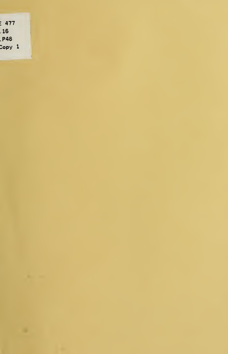$= 477$ 16 P48 Copy 1

 $\overline{\phantom{a}}$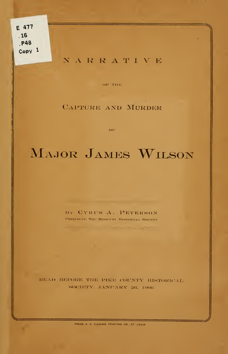$E$  477  $.16$ P48 Copy 1

## NARRATIVE

OF THE

## CAPTURE AND MURDER

 $\mathbf{O} \mathbf{F}$ 

# MAJOR JAMES WILSON

BY CYRUS A. PETERSON PRESIDENT, THE MISSOURI HISTORICAL SOCIETY

READ BEFORE THE PIKE COUNTY HISTORICAL SOCIETY, JANFARY 26, 1906

PRESS A. R. FLEMING PRINTING CO., ST LOUIS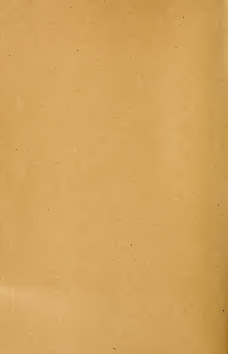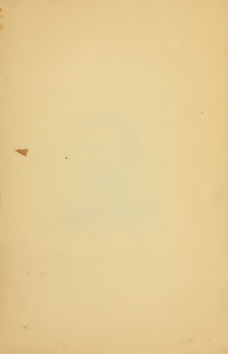

 $\mathcal{A}^{\text{max}}_{\text{max}}$ 

 $\mathcal{A}^{\text{max}}_{\text{max}}$ 

e de la propincia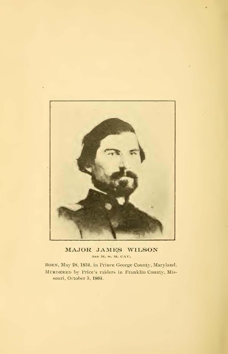

### MAJOR JAMES WILSON 3RD M. S. M. CAV.

Born, May 28, 1834, in Prince George County, Maryland. Murdered by Price's raiders in Franklin County, Missouri, October 3, 1864.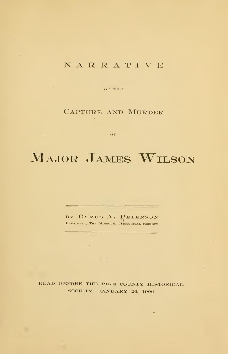# NARRATIVE

 $\Delta\sim 1$ 

**Carl Corp.** 

 $\mathcal{L}^{\text{max}}_{\text{max}}$  and  $\mathcal{L}^{\text{max}}_{\text{max}}$ 

 $\sim$ 

 $\sim 10^{-1}$ 

OF THE

## Capture axd Murder

 $-OF$ 

# Major James Wilson

BY CYRUS A. PETERSON PRESIDENT, THE MISSOURI HISTORICAL SOCIETY

**SALE STATE** 

READ BEFORE THE PIKE COUNTY HISTORICAL SOCIETY, JANUARY 26, 1906

 $\sigma$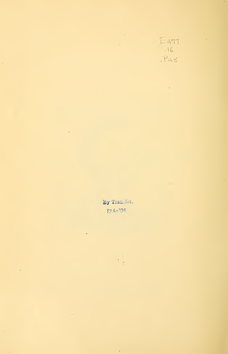By Transfer,  $12Ar'0e$ 

J.

 $\bar{\beta}$ 

J.

l,

Ŷ,

 $\sim 80$ 

 $T = 477$ 

 $.748$ 



 $\hat{\boldsymbol{\beta}}$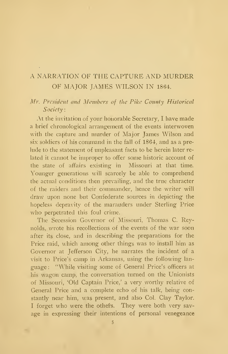# A NARRATION OF THE CAPTURE AND MURDER OF MAJOR JAMES WILSON IN 1864.

### Mr. President and Members of the Pike County Historical Society:

At the invitation of your honorable Secretary, <sup>I</sup> have made a brief chronological arrangement of the events interwoven with the capture and murder of Major James Wilson and six soldiers of his command in the fall of 1864, and as a pre lude to the statement of unpleasant facts to be herein later re lated it cannot be improper to offer some historic account of the state of affairs existing in Missouri at that time. Younger generations will scarcely be able to comprehend the actual conditions then prevailing, and the true character of the raiders and their commander, hence the writer will draw upon none but Confederate sources in depicting the hopeless depravity of the marauders under Sterling Price who perpetrated this foul crime.

The Secession Governor of Missouri, Thomas C. Reynolds, wrote his recollections of the events of the war soon after its close, and in describing the preparations for the Price raid, which among other things was to install him as Governor at Jefferson City, he narrates the incident of a visit to Price's camp in Arkansas, using the following lan guage: "While visiting some of General Price's officers at his wagon camp, the conversation turned on the Unionists of Missouri, 'Old Captain Price,' a very worthy relative of General Price and a complete echo of his talk, being constantly near him, was present, and also Col. Clay Taylor. <sup>I</sup> forget who were the othefs. They were both very sav age in expressing their intentions of personal venegeance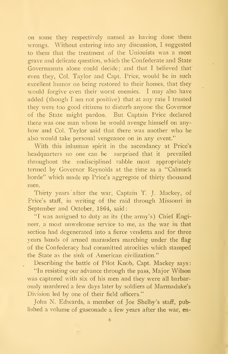on some they respectively named as having done them wrongs. Without entering into any discussion, I suggested to them that the treatment of the Unionists was a most grave and delicate question, which the Confederate and State Governments alone could decide; and that <sup>I</sup> believed that' even they. Col. Taylor and Capt. Price, would be in such excellent humor on being restored to their homes, that they would forgive even their worst enemies. <sup>I</sup> may also have added (though <sup>I</sup> am not positive) that at any rate <sup>I</sup> trusted they were too' good citizens to disturb anyone the Governor of the State might pardon. But Captain Price declared there was one man whom he would avenge himself on anyhow and Col. Taylor said that there was another who he also would take personal vengeance on in any event."

With this inhuman spirit in the ascendancy at Price's headquarters no one can be surprised that it prevailed throughout the undisciplined rabble most appropriately termed by Governor Reynolds at the time as a "Calmuck horde" which made up Price's aggregate of thirty thousand men.

Thirty years after the war, Captain T. J. Mackey, of Price's staff, in writing of the raid through Missouri in September and October, 1864, said

"I was assigned to duty as its (the army's) Chief Engineer, a most unwelcome service to me, as the war in that section had degenerated into a fierce vendetta and for three years bands of armed marauders marching under the flag of the Confederacy had committed atrocities which stamped the State as the sink of American civilization."

Describing the battle of Pilot Knob, Capt. Mackey says:

"In resisting our advance through the pass. Major Wilson was captured with six of his men and they were all barbarously murdered a few days later by soldiers of Marmaduke's Division led by one of their field officers."

John N. Edwards, a member of Joe Shelby's staff, published a volume of gasconade a few years after the war, en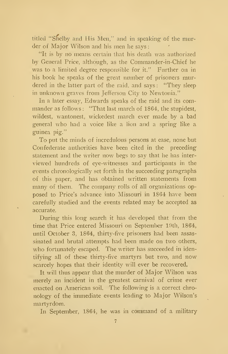titled "Shelby and His Men," and in speaking of the murder of Major Wilson and his men he says

"It is by no means certain that his death was authorized by General Price, although, as the Commander-in-Chief he was to a limited degree responsible for it." Further on in his book he speaks of the great number of prisoners murdered in the latter part of the raid, and says : "They sleep in unknown graves from Jefferson City to Newtonia."

In a later essay, Edwards speaks of the raid and its com mander as follows: "That last march of 1864, the stupidest, wildest, wantonest, wickedest march ever made by a bad general who had a voice like a lion and a spring like a guinea pig."

To put the minds of incredulous persons at ease, none but Confederate authorities have been cited in the preceding statement and the writer now begs to say that he has interviewed hundreds of eye-witnesses and participants in the events chronologically set forth in the succeeding paragraphs of this paper, and has obtained written statements from many of them. The company rolls of all organizations opposed to Price's advance into Missouri in 1864 have been carefully studied and the events related may be accepted as accurate.

During this long search it has developed that from the time that Price entered Missouri on September 19th, 1864, until October 3, 1864, thirty-five prisoners had been assas sinated and brutal attempts had been made on two others, who fortunately escaped. The writer has succeeded in identifying all of these thirty-five martyrs but two, and now scarcely hopes that their identity will ever be recovered.

It will thus appear that the murder of Major Wilson was merely an incident in the greatest carnival of crime ever enacted on American soil. The following is a correct chronology of the immediate events leading to Major Wilson's martyrdom.

In September, 1864, he was in command of a military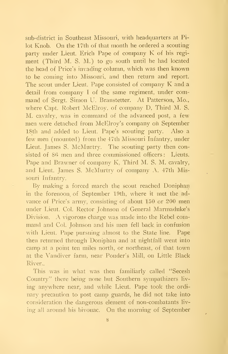sub-district in Southeast Missouri, with headquarters at Pilot Knob. On the 17th of that month he ordered <sup>a</sup> scouting party under Lieut. Erich Pape of company K of his regiment (Third M. S. M.) to go south until he had located the head of Price's invading column, which was then known to be coming into Missouri, and then return and report. The scout under Lieut. Pape consisted of company K and <sup>a</sup> detail from company <sup>I</sup> of the same regiment, under com mand of Sergt. Simon U. Branstetter. At Patterson, Mo., where Capt. Robert McElroy, of company D, Third M. S. M. cavalry, was in command of the advanced post, a few men were detached from McElroy's company oh September 18th and added to Lieut. Pape's scouting party. Also a few men (mounted) from the 47th Missouri Infantry, under Lieut. James S. McMurtry. The scouting party then consisted of 86 men and three commissioned officers: Lieuts. Pape and Brawner of company K, Third M. S. M. cavalry, and Lieut. James S. McMurtry of company A. 47th Missouri Infantry.

By making a forced march the scout reached Doniphan in the forenoon of September 19th, where it met the advance of Price's army, consisting of about 150 or 200 men under Lieut. Col. Rector Johnson of General Marmaduke's Division. A vigorous charge was made into the Rebel command and Col. Johnson and his men fell back, in confusion with Lieut. Pape pursuing almost to the State line. Pape then returned through Doniphan and at nightfall went into camp at a point ten miles north, or northeast, of that town at the Vandiver farm, near Ponder's Mill, on Little Black River..

This was in what was then familiarly called "Secesh Country" there being none but Southern sympathizers liv ing anywhere near, and while Lieut. Pape took the ordinary precaution to post camp guards, he did not take into consideration the dangerous element of non-combatants liv ing all around his bivouac. On the morning of September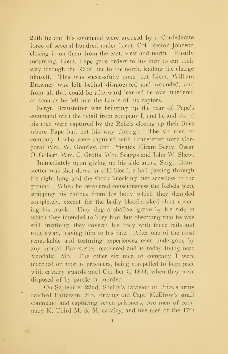20th he and his command were aroused by a Confederate force of several hundred under Lieut. Col. Rector Johnson closing- in on them from the east, west and north. Hastilymounting, Lieut. Pape gave orders to his men to cut their way through the Rebel line to the north, leading the charge himself. This was successfully done, but Lieut. William Brawner was left behind dismounted and wounded, and from all that could be afterward learned he was murdered as soon as he fell into the hands of his captors.

Sergt. Branstetter was bringing up the rear of Pape's command with the detail from company I, and he and six of his men were captured by the Rebels closing up their lines where Rape had cut his way through. The six men of company <sup>I</sup> who were captured with Branstetter were Corporal W'm. W. Gourley, and Privates Hiram Berry, Oscar O. Gilbert, Wm. C.Grotts, Wm. Scaggs and John W. Shew.

Immediately upon giving up his side arms, Sergt. Branstetter was shot down in cold blood, a ball passing through his right lung and the shock knocking him senseless to the ground. When he recovered consciousness the Rebels were stripping his clothes from his body which they denuded completely, except for the badly blood-soaked shirt cover ing his trunk. They dug a shallow grave by his side in which they intended to bury him, but observing that he was still breathing, they covered his body with fence rails and rode away, leaving him to his fate. After one of the most remarkable and torturing experiences ever undergone by any mortal, Branstetter recovered and is today living near Vandalia, Mo. The other six men of company <sup>I</sup> were marched on foot as prisoners, being compelled to keep pace with cavalry guards until October 3, 1864, when they were disposed of by parole or murder.

On September 22nd. Shelby's Division of Price's army reached Patterson, Mo., driving out Capt, McElroy's small command and capturing seven prisoners, two men of company K, Third M. S. M. cavalry, and five men of the 47th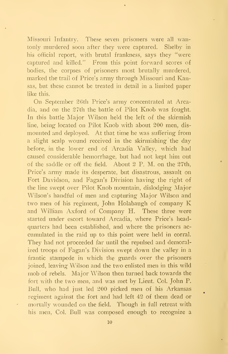Missouri Infantry. These seven prisoners were all wantonly murdered soon after they were captured. Shelby in his official report, with brutal frankness, says they "were captured and killed." From this point forward scores of bodies, the corpses of prisoners most brutally murdered, marked the trail of Price's army through Missouri and Kansas, but these cannot be treated in detail in a limited paper like this.

On September 26th Price's army concentrated at Arcadia, and on the 27th the battle of Pilot Knob was fought. In this battle Major Wilson held the left of the skirmish line, being located on Pilot Knob with about 200 men, dis mounted and deployed. At that time he was suffering from a slight scalp wound received in the skirmishing the day before, in the lower end of Arcadia Valley, which had caused considerable hemorrhage, but had not kept him out of the saddle or off the field. About 2 P. M. on the 27th, Price's army made its desperate, but disastrous, assault on Fort Davidson, and Fagan's Division having the right of the line swept over Pilot Knob mountain, dislodging Major Wilson's handful of men and capturing Major Wilson and two men of his regiment, John Holabaugh of company K and William Axford of Company H. These three were started under escort toward Arcadia, where Price's headquarters had been established, and where the prisoners ac cumulated in the raid up to this point were held in corral. They had not proceeded far until the repulsed and demoralized troops of Fagan's Division swept down the valley in a frantic stampede in which the guards over the prisoners joined, leaving Wilson and the two enlisted men in this wild mob of rebels. Major Wilson then turned back towards the fort with the two men, and was met by Lieut. Col. John P. Bull, who' had just led 200 picked men of his Arkansas regiment against the fort and had left 42 of them dead or mortally wounded on the field. Though in full retreat with his men, Col. Bull was composed enough to recognize a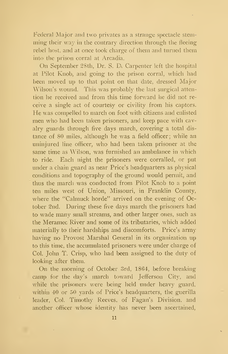Federal Major and two privates as a strange spectacle stem ming their way in the contrary direction through the fleeing rebel host, and at once took charge of them and turned them into the prison corral at Arcadia.

On September 28th, Dr. S. D. Carpenter left the hospital at Pilot Knob, and going to the prison corral, which had been moved up to that point on that date, dressed Major Wilson's wound. This was probably the last surgical attention he received and from this time forward he did not re ceive a single act of courtesy or civility from his captors. He was compelled to march on foot with citizens and enlisted men who had been taken prisoners, and keep pace with cavalry guards through five days march, covering a total dis tance of 80 miles, although he was a field officer; while an uninjured line officer, who had been taken prisoner at the same time as Wilson, was furnished an ambulance in which to ride. Eacli night the prisoners were corralled, or put under a chain guard as near Price's headquarters as physical conditions and topography of the ground would permit, and thus the march was conducted from Pilot Knob to a point ten miles west of Union, Missouri, in Franklin County, where the "Calmuck horde" arrived on the evening of October 2nd. During these five days march the prisoners had to wade many small streams, and other larger ones, such as the Meramec River and some of its tributaries, which added materially to their hardships and discomforts. Price's army having no Provost Marshal General in its organization up to this time, the accumulated prisoners were under charge of Col. John T. Crisp, who had been assigned to the duty of looking after them.

On the morning of October 3rd, 1864, before breaking camp for the day's march toward Jefferson City, and while the prisoners were being held under heavy guard, within 40 or 50 yards of Price's headquarters, the guerilla leader. Col. Timothy Reeves, of Fagan's Division, and another officer whose identity has never been ascertained,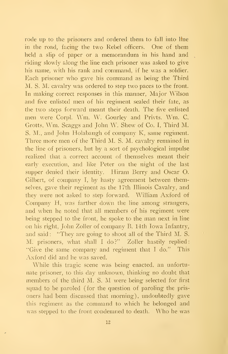rode up to the prisoners and ordered them to fall into line in the road, facing the two Rebel officers. One of them held a slip of paper or a memorandum in his hand and riding slowly along the line each prisoner was asked to give his name, with his rank and command, if he was a soldier. Each prisoner who gave his command as being the Third M. S. M. cavalry was ordered to step two paces to the front. In making correct responses in this manner, Major Wilson and five enlisted men of his regiment sealed their fate, as the two steps forward meant their death. The five enlisted men were Corpl. Wm. W. Gourley and Privts. Wm. C. Grotts, Wm. Scaggs and John W. Shew of Co. I, Third M. S. M., and John Holabaugh of company K, same regiment. Three more men of the Third M. S. M. cavalry remained in the line of prisoners, but by a sort of psychological impulse realized that a correct account of themselves meant their early execution, and like Peter on the night of the last supper denied their identity. Hiram Berry and Oscar O. Gilbert, of company I, by hasty agreement between themselves, gave their regiment as the 17th Illinois Cavalry, and they were not asked to step forward. William Axford of Company H, was farther down the line among strangers, and when he noted that all members of his regiment were being stepped to the front, he spoke to the man next in line on his right, John Zoller of company B. 14th Iowa Infantry, and said: "They are going to shoot all of the Third M. S. M. prisoners, what shall <sup>I</sup> do?" Zoller hastily replied: "Give the same company and regiment that I do." This Axford did and he was saved.

While this tragic scene was being enacted, an unfortunate prisoner, to this day unknown, thinking no-doubt that members of the third M. S. M were being selected for first squad to be paroled (for the question of paroling the pris oners had been discussed that morning), undoubtedly gave this regiment as the command to which he belonged and was stepped to the front condemned to death. Who he was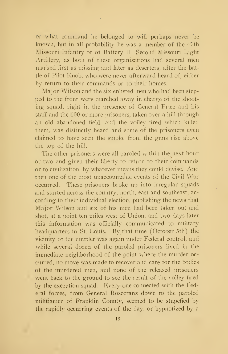or what command he belonged to will perhaps never be known, but in all probability he was a member of the 47th Missouri Infantry or of Battery H, Second Missouri Light Artillery, as both of these organizations had several men marked first as missing and later as deserters, after the battle of Pilot Knob, who^ were never afterward heard of, either by return to their commands or to their homes.

Major Wilson and the six enlisted men who had been stepped to the front were marched away in charge of the shooting squad, right in the presence of General Price and his staff and the 400 or more prisoners, taken over a hill through an old abandoned field, and the volley fired which killed them, was distinctly heard and some of the prisoners even claimed to have seen the smoke from the guns rise above the top of the hill.

The other prisoners were all paroled within the next hour or two and given their liberty to return to their commands or to civilization, by whatever means they could devise. And then one of the most unaccountable events of the Civil War occurred. These prisoners broke up into irregular squads and started across the country, north, east and southeast, ac cording to their individual election, publishing the news that Major Wilson and six of his men had been taken out and shot, at a point ten miles west of Union, and two days later this information was officially communicated to military headquarters in St. Louis. By that time (October 5th) the vicinity of the murder was again under Federal control, and while several dozen of the paroled prisoners lived in the immediate neighborhood of the point where the murder oc curred, no move was made to recover and care for the bodies of the murdered men, and none of the released prisoners went back to the ground to see the result of the volley fired by the execution squad. Every one connected with the Federal forces, from General Rosecranz down to the paroled militiamen of Franklin County, seemed to be stupefied by the rapidly occurring events of the day, or hypnotized by a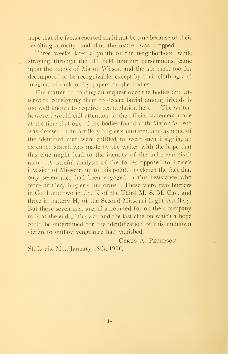hope that the facts reported could not be true because of their revolting atrocity, and thus the matter was dropped.

Three weeks later a youth of the neighborhood while straying through the old field hunting persimmons, came upon the bodies of Major Wilson and the six men, too far decomposed to be recognizable, except by their clothing and insignia of rank or by papers on the bodies.

The matter of holding an inquest over the bodies and af terward consigning them to decent burial among friends is too well known to require recapitulation here. The writer, however, would call attention to the official statement made at the time that one of the bodies found with Major Wilson was dressed in an artillery bugler's uniform, and as none of the identified men were entitled to wear such insignia, an extended search was made by the writer with the hope that this clue might lead to the identity of the unknown sixth man. A careful analysis of the forces opposed to Price's invasion of Missouri up to this point, developed the fact that only seven men had been engaged in this resistance who wore artillery bugler's uniforms. These were two buglers in Co. <sup>I</sup> and two in Co. K of the Third M. S. M. Cav. and three in battery H, of the Second Missouri Light Artillery. But those seven men are all accounted for on their company rolls at the end of the war and the last clue on which a hope could be entertained for the identification of this unknown victim of outlaw^ vengeance had vanished.

CYRUS A. PETERSON.

St. Louis, Mo., January 18th. 1006.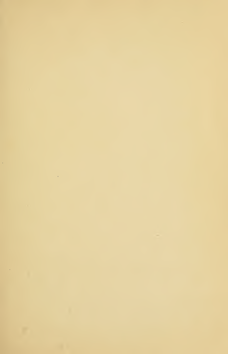$\mathcal{L}$ 

**Contract Contract** 

**RANDA**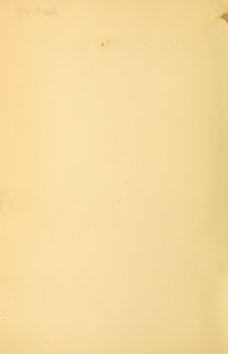$\mathcal{A}^{\mathcal{A}}$ 

 $\mathcal{L}^{\text{max}}_{\text{max}}$  , where  $\mathcal{L}^{\text{max}}_{\text{max}}$  $\mathcal{L}^{\text{max}}_{\text{max}}$  , where  $\mathcal{L}^{\text{max}}_{\text{max}}$  $\mathcal{A}$  and  $\mathcal{A}$  and  $\mathcal{A}$ 

 $\hat{\mathcal{A}}$ 

 $\label{eq:4} \mathcal{A}=\mathcal{A}^{\dagger}=\mathcal{A}^{\dagger}=\mathcal{A}^{\dagger}=\mathcal{A}^{\dagger}$ 

 $\mathcal{L}^{\text{max}}_{\text{max}}$ 

 $\mathcal{L}_{\text{max}}$  , and  $\mathcal{L}_{\text{max}}$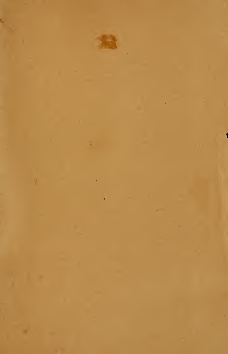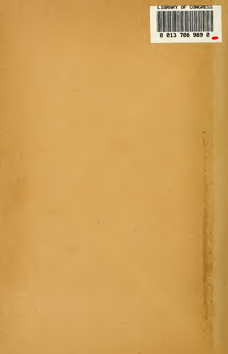

i<br>S

n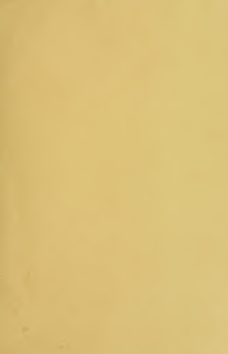